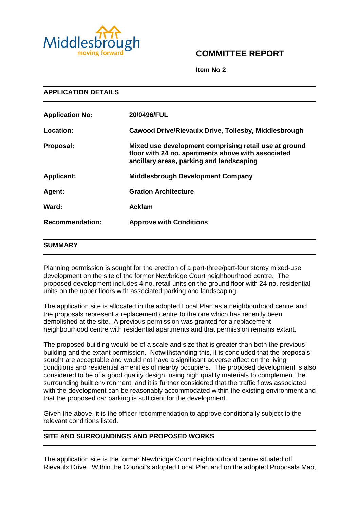

# **COMMITTEE REPORT**

**Item No 2**

| <b>APPLICATION DETAILS</b> |                                                                                                                                                         |  |  |  |
|----------------------------|---------------------------------------------------------------------------------------------------------------------------------------------------------|--|--|--|
| <b>Application No:</b>     | 20/0496/FUL                                                                                                                                             |  |  |  |
| Location:                  | Cawood Drive/Rievaulx Drive, Tollesby, Middlesbrough                                                                                                    |  |  |  |
| Proposal:                  | Mixed use development comprising retail use at ground<br>floor with 24 no. apartments above with associated<br>ancillary areas, parking and landscaping |  |  |  |
| <b>Applicant:</b>          | <b>Middlesbrough Development Company</b>                                                                                                                |  |  |  |
| Agent:                     | <b>Gradon Architecture</b>                                                                                                                              |  |  |  |
| Ward:                      | <b>Acklam</b>                                                                                                                                           |  |  |  |
| <b>Recommendation:</b>     | <b>Approve with Conditions</b>                                                                                                                          |  |  |  |
| <b>SUMMARY</b>             |                                                                                                                                                         |  |  |  |

Planning permission is sought for the erection of a part-three/part-four storey mixed-use development on the site of the former Newbridge Court neighbourhood centre. The proposed development includes 4 no. retail units on the ground floor with 24 no. residential units on the upper floors with associated parking and landscaping.

The application site is allocated in the adopted Local Plan as a neighbourhood centre and the proposals represent a replacement centre to the one which has recently been demolished at the site. A previous permission was granted for a replacement neighbourhood centre with residential apartments and that permission remains extant.

The proposed building would be of a scale and size that is greater than both the previous building and the extant permission. Notwithstanding this, it is concluded that the proposals sought are acceptable and would not have a significant adverse affect on the living conditions and residential amenities of nearby occupiers. The proposed development is also considered to be of a good quality design, using high quality materials to complement the surrounding built environment, and it is further considered that the traffic flows associated with the development can be reasonably accommodated within the existing environment and that the proposed car parking is sufficient for the development.

Given the above, it is the officer recommendation to approve conditionally subject to the relevant conditions listed.

# **SITE AND SURROUNDINGS AND PROPOSED WORKS**

The application site is the former Newbridge Court neighbourhood centre situated off Rievaulx Drive. Within the Council's adopted Local Plan and on the adopted Proposals Map,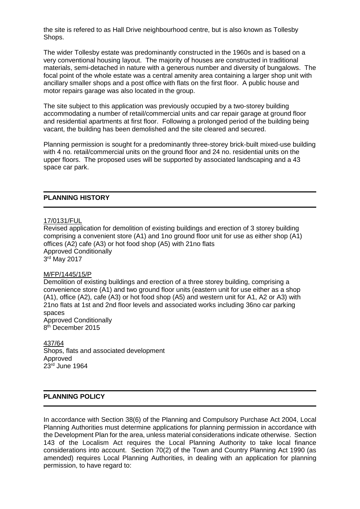the site is refered to as Hall Drive neighbourhood centre, but is also known as Tollesby Shops.

The wider Tollesby estate was predominantly constructed in the 1960s and is based on a very conventional housing layout. The majority of houses are constructed in traditional materials, semi-detached in nature with a generous number and diversity of bungalows. The focal point of the whole estate was a central amenity area containing a larger shop unit with ancillary smaller shops and a post office with flats on the first floor. A public house and motor repairs garage was also located in the group.

The site subject to this application was previously occupied by a two-storey building accommodating a number of retail/commercial units and car repair garage at ground floor and residential apartments at first floor. Following a prolonged period of the building being vacant, the building has been demolished and the site cleared and secured.

Planning permission is sought for a predominantly three-storey brick-built mixed-use building with 4 no. retail/commercial units on the ground floor and 24 no. residential units on the upper floors. The proposed uses will be supported by associated landscaping and a 43 space car park.

### **PLANNING HISTORY**

#### 17/0131/FUL

Revised application for demolition of existing buildings and erection of 3 storey building comprising a convenient store (A1) and 1no ground floor unit for use as either shop (A1) offices (A2) cafe (A3) or hot food shop (A5) with 21no flats Approved Conditionally 3 rd May 2017

### M/FP/1445/15/P

Demolition of existing buildings and erection of a three storey building, comprising a convenience store (A1) and two ground floor units (eastern unit for use either as a shop (A1), office (A2), cafe (A3) or hot food shop (A5) and western unit for A1, A2 or A3) with 21no flats at 1st and 2nd floor levels and associated works including 36no car parking spaces Approved Conditionally

8<sup>th</sup> December 2015

437/64 Shops, flats and associated development Approved 23rd June 1964

# **PLANNING POLICY**

In accordance with Section 38(6) of the Planning and Compulsory Purchase Act 2004, Local Planning Authorities must determine applications for planning permission in accordance with the Development Plan for the area, unless material considerations indicate otherwise. Section 143 of the Localism Act requires the Local Planning Authority to take local finance considerations into account. Section 70(2) of the Town and Country Planning Act 1990 (as amended) requires Local Planning Authorities, in dealing with an application for planning permission, to have regard to: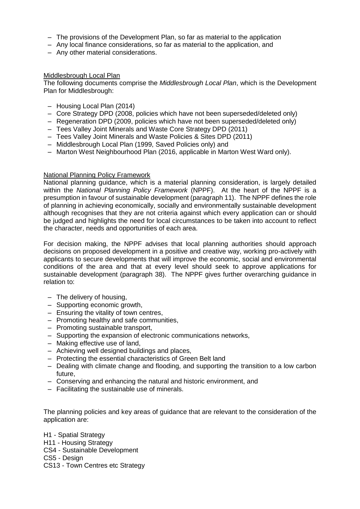- The provisions of the Development Plan, so far as material to the application
- Any local finance considerations, so far as material to the application, and
- Any other material considerations.

#### Middlesbrough Local Plan

The following documents comprise the *Middlesbrough Local Plan*, which is the Development Plan for Middlesbrough:

- Housing Local Plan (2014)
- Core Strategy DPD (2008, policies which have not been superseded/deleted only)
- Regeneration DPD (2009, policies which have not been superseded/deleted only)
- Tees Valley Joint Minerals and Waste Core Strategy DPD (2011)
- Tees Valley Joint Minerals and Waste Policies & Sites DPD (2011)
- Middlesbrough Local Plan (1999, Saved Policies only) and
- Marton West Neighbourhood Plan (2016, applicable in Marton West Ward only).

#### National Planning Policy Framework

National planning guidance, which is a material planning consideration, is largely detailed within the *National Planning Policy Framework* (NPPF). At the heart of the NPPF is a presumption in favour of sustainable development (paragraph 11). The NPPF defines the role of planning in achieving economically, socially and environmentally sustainable development although recognises that they are not criteria against which every application can or should be judged and highlights the need for local circumstances to be taken into account to reflect the character, needs and opportunities of each area.

For decision making, the NPPF advises that local planning authorities should approach decisions on proposed development in a positive and creative way, working pro-actively with applicants to secure developments that will improve the economic, social and environmental conditions of the area and that at every level should seek to approve applications for sustainable development (paragraph 38). The NPPF gives further overarching guidance in relation to:

- The delivery of housing,
- Supporting economic growth,
- Ensuring the vitality of town centres,
- Promoting healthy and safe communities,
- Promoting sustainable transport,
- Supporting the expansion of electronic communications networks,
- Making effective use of land,
- Achieving well designed buildings and places,
- Protecting the essential characteristics of Green Belt land
- Dealing with climate change and flooding, and supporting the transition to a low carbon future,
- Conserving and enhancing the natural and historic environment, and
- Facilitating the sustainable use of minerals.

The planning policies and key areas of guidance that are relevant to the consideration of the application are:

H1 - Spatial Strategy H11 - Housing Strategy CS4 - Sustainable Development CS5 - Design CS13 - Town Centres etc Strategy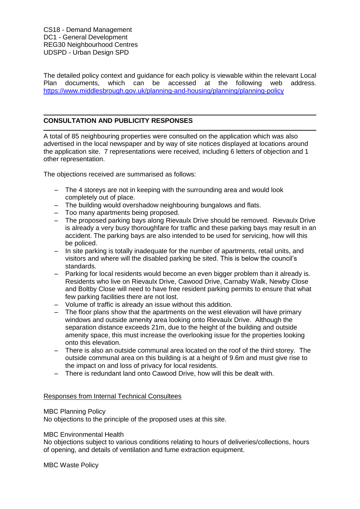CS18 - Demand Management DC1 - General Development REG30 Neighbourhood Centres UDSPD - Urban Design SPD

The detailed policy context and guidance for each policy is viewable within the relevant Local Plan documents, which can be accessed at the following web address. <https://www.middlesbrough.gov.uk/planning-and-housing/planning/planning-policy>

# **CONSULTATION AND PUBLICITY RESPONSES**

A total of 85 neighbouring properties were consulted on the application which was also advertised in the local newspaper and by way of site notices displayed at locations around the application site. 7 representations were received, including 6 letters of objection and 1 other representation.

The objections received are summarised as follows:

- The 4 storeys are not in keeping with the surrounding area and would look completely out of place.
- The building would overshadow neighbouring bungalows and flats.
- Too many apartments being proposed.
- The proposed parking bays along Rievaulx Drive should be removed. Rievaulx Drive is already a very busy thoroughfare for traffic and these parking bays may result in an accident. The parking bays are also intended to be used for servicing, how will this be policed.
- In site parking is totally inadequate for the number of apartments, retail units, and visitors and where will the disabled parking be sited. This is below the council's standards.
- Parking for local residents would become an even bigger problem than it already is. Residents who live on Rievaulx Drive, Cawood Drive, Carnaby Walk, Newby Close and Boltby Close will need to have free resident parking permits to ensure that what few parking facilities there are not lost.
- Volume of traffic is already an issue without this addition.
- The floor plans show that the apartments on the west elevation will have primary windows and outside amenity area looking onto Rievaulx Drive. Although the separation distance exceeds 21m, due to the height of the building and outside amenity space, this must increase the overlooking issue for the properties looking onto this elevation.
- There is also an outside communal area located on the roof of the third storey. The outside communal area on this building is at a height of 9.6m and must give rise to the impact on and loss of privacy for local residents.
- There is redundant land onto Cawood Drive, how will this be dealt with.

# Responses from Internal Technical Consultees

#### MBC Planning Policy

No objections to the principle of the proposed uses at this site.

#### MBC Environmental Health

No objections subject to various conditions relating to hours of deliveries/collections, hours of opening, and details of ventilation and fume extraction equipment.

MBC Waste Policy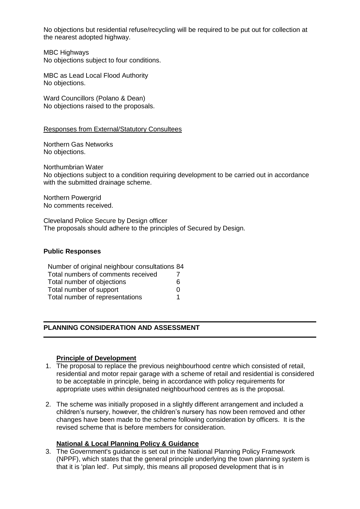No objections but residential refuse/recycling will be required to be put out for collection at the nearest adopted highway.

MBC Highways No objections subject to four conditions.

MBC as Lead Local Flood Authority No objections.

Ward Councillors (Polano & Dean) No objections raised to the proposals.

### Responses from External/Statutory Consultees

Northern Gas Networks No objections.

Northumbrian Water No objections subject to a condition requiring development to be carried out in accordance with the submitted drainage scheme.

Northern Powergrid No comments received.

Cleveland Police Secure by Design officer The proposals should adhere to the principles of Secured by Design.

### **Public Responses**

| Number of original neighbour consultations 84 |                   |
|-----------------------------------------------|-------------------|
| Total numbers of comments received            |                   |
| Total number of objections                    | 6                 |
| Total number of support                       | $\mathbf{\Omega}$ |
| Total number of representations               |                   |

# **PLANNING CONSIDERATION AND ASSESSMENT**

# **Principle of Development**

- 1. The proposal to replace the previous neighbourhood centre which consisted of retail, residential and motor repair garage with a scheme of retail and residential is considered to be acceptable in principle, being in accordance with policy requirements for appropriate uses within designated neighbourhood centres as is the proposal.
- 2. The scheme was initially proposed in a slightly different arrangement and included a children's nursery, however, the children's nursery has now been removed and other changes have been made to the scheme following consideration by officers. It is the revised scheme that is before members for consideration.

# **National & Local Planning Policy & Guidance**

3. The Government's guidance is set out in the National Planning Policy Framework (NPPF), which states that the general principle underlying the town planning system is that it is 'plan led'. Put simply, this means all proposed development that is in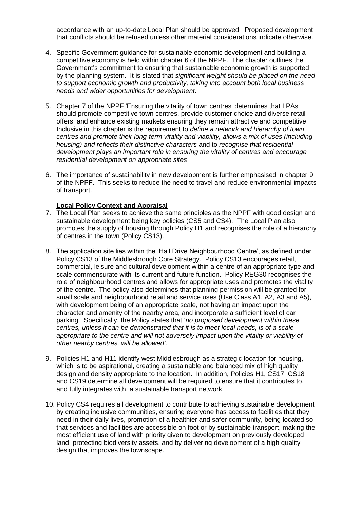accordance with an up-to-date Local Plan should be approved. Proposed development that conflicts should be refused unless other material considerations indicate otherwise.

- 4. Specific Government guidance for sustainable economic development and building a competitive economy is held within chapter 6 of the NPPF. The chapter outlines the Government's commitment to ensuring that sustainable economic growth is supported by the planning system. It is stated that *significant weight should be placed on the need to support economic growth and productivity, taking into account both local business needs and wider opportunities for development*.
- 5. Chapter 7 of the NPPF 'Ensuring the vitality of town centres' determines that LPAs should promote competitive town centres, provide customer choice and diverse retail offers; and enhance existing markets ensuring they remain attractive and competitive. Inclusive in this chapter is the requirement to *define a network and hierarchy of town centres and promote their long-term vitality and viability, allows a mix of uses (including housing) and reflects their distinctive characters* and to *recognise that residential development plays an important role in ensuring the vitality of centres and encourage residential development on appropriate sites*.
- 6. The importance of sustainability in new development is further emphasised in chapter 9 of the NPPF. This seeks to reduce the need to travel and reduce environmental impacts of transport.

### **Local Policy Context and Appraisal**

- 7. The Local Plan seeks to achieve the same principles as the NPPF with good design and sustainable development being key policies (CS5 and CS4). The Local Plan also promotes the supply of housing through Policy H1 and recognises the role of a hierarchy of centres in the town (Policy CS13).
- 8. The application site lies within the 'Hall Drive Neighbourhood Centre', as defined under Policy CS13 of the Middlesbrough Core Strategy. Policy CS13 encourages retail, commercial, leisure and cultural development within a centre of an appropriate type and scale commensurate with its current and future function. Policy REG30 recognises the role of neighbourhood centres and allows for appropriate uses and promotes the vitality of the centre. The policy also determines that planning permission will be granted for small scale and neighbourhood retail and service uses (Use Class A1, A2, A3 and A5), with development being of an appropriate scale, not having an impact upon the character and amenity of the nearby area, and incorporate a sufficient level of car parking. Specifically, the Policy states that '*no proposed development within these centres, unless it can be demonstrated that it is to meet local needs, is of a scale appropriate to the centre and will not adversely impact upon the vitality or viability of other nearby centres, will be allowed'*.
- 9. Policies H1 and H11 identify west Middlesbrough as a strategic location for housing, which is to be aspirational, creating a sustainable and balanced mix of high quality design and density appropriate to the location. In addition, Policies H1, CS17, CS18 and CS19 determine all development will be required to ensure that it contributes to, and fully integrates with, a sustainable transport network.
- 10. Policy CS4 requires all development to contribute to achieving sustainable development by creating inclusive communities, ensuring everyone has access to facilities that they need in their daily lives, promotion of a healthier and safer community, being located so that services and facilities are accessible on foot or by sustainable transport, making the most efficient use of land with priority given to development on previously developed land, protecting biodiversity assets, and by delivering development of a high quality design that improves the townscape.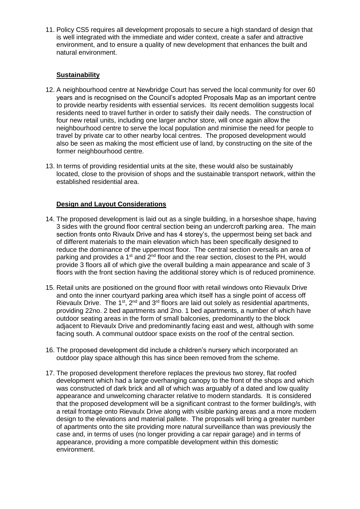11. Policy CS5 requires all development proposals to secure a high standard of design that is well integrated with the immediate and wider context, create a safer and attractive environment, and to ensure a quality of new development that enhances the built and natural environment.

# **Sustainability**

- 12. A neighbourhood centre at Newbridge Court has served the local community for over 60 years and is recognised on the Council's adopted Proposals Map as an important centre to provide nearby residents with essential services. Its recent demolition suggests local residents need to travel further in order to satisfy their daily needs. The construction of four new retail units, including one larger anchor store, will once again allow the neighbourhood centre to serve the local population and minimise the need for people to travel by private car to other nearby local centres. The proposed development would also be seen as making the most efficient use of land, by constructing on the site of the former neighbourhood centre.
- 13. In terms of providing residential units at the site, these would also be sustainably located, close to the provision of shops and the sustainable transport network, within the established residential area.

# **Design and Layout Considerations**

- 14. The proposed development is laid out as a single building, in a horseshoe shape, having 3 sides with the ground floor central section being an undercroft parking area. The main section fronts onto Rivaulx Drive and has 4 storey's, the uppermost being set back and of different materials to the main elevation which has been specifically designed to reduce the dominance of the uppermost floor. The central section oversails an area of parking and provides a 1<sup>st</sup> and 2<sup>nd</sup> floor and the rear section, closest to the PH, would provide 3 floors all of which give the overall building a main appearance and scale of 3 floors with the front section having the additional storey which is of reduced prominence.
- 15. Retail units are positioned on the ground floor with retail windows onto Rievaulx Drive and onto the inner courtyard parking area which itself has a single point of access off Rievaulx Drive. The 1<sup>st</sup>,  $2^{nd}$  and  $3^{rd}$  floors are laid out solely as residential apartments, providing 22no. 2 bed apartments and 2no. 1 bed apartments, a number of which have outdoor seating areas in the form of small balconies, predominantly to the block adjacent to Rievaulx Drive and predominantly facing east and west, although with some facing south. A communal outdoor space exists on the roof of the central section.
- 16. The proposed development did include a children's nursery which incorporated an outdoor play space although this has since been removed from the scheme.
- 17. The proposed development therefore replaces the previous two storey, flat roofed development which had a large overhanging canopy to the front of the shops and which was constructed of dark brick and all of which was arguably of a dated and low quality appearance and unwelcoming character relative to modern standards. It is considered that the proposed development will be a significant contrast to the former building/s, with a retail frontage onto Rievaulx Drive along with visible parking areas and a more modern design to the elevations and material pallete. The proposals will bring a greater number of apartments onto the site providing more natural surveillance than was previously the case and, in terms of uses (no longer providing a car repair garage) and in terms of appearance, providing a more compatible development within this domestic environment.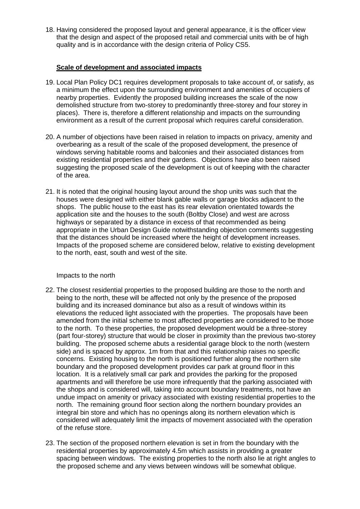18. Having considered the proposed layout and general appearance, it is the officer view that the design and aspect of the proposed retail and commercial units with be of high quality and is in accordance with the design criteria of Policy CS5.

### **Scale of development and associated impacts**

- 19. Local Plan Policy DC1 requires development proposals to take account of, or satisfy, as a minimum the effect upon the surrounding environment and amenities of occupiers of nearby properties. Evidently the proposed building increases the scale of the now demolished structure from two-storey to predominantly three-storey and four storey in places). There is, therefore a different relationship and impacts on the surrounding environment as a result of the current proposal which requires careful consideration.
- 20. A number of objections have been raised in relation to impacts on privacy, amenity and overbearing as a result of the scale of the proposed development, the presence of windows serving habitable rooms and balconies and their associated distances from existing residential properties and their gardens. Objections have also been raised suggesting the proposed scale of the development is out of keeping with the character of the area.
- 21. It is noted that the original housing layout around the shop units was such that the houses were designed with either blank gable walls or garage blocks adjacent to the shops. The public house to the east has its rear elevation orientated towards the application site and the houses to the south (Boltby Close) and west are across highways or separated by a distance in excess of that recommended as being appropriate in the Urban Design Guide notwithstanding objection comments suggesting that the distances should be increased where the height of development increases. Impacts of the proposed scheme are considered below, relative to existing development to the north, east, south and west of the site.

# Impacts to the north

- 22. The closest residential properties to the proposed building are those to the north and being to the north, these will be affected not only by the presence of the proposed building and its increased dominance but also as a result of windows within its elevations the reduced light associated with the properties. The proposals have been amended from the initial scheme to most affected properties are considered to be those to the north. To these properties, the proposed development would be a three-storey (part four-storey) structure that would be closer in proximity than the previous two-storey building. The proposed scheme abuts a residential garage block to the north (western side) and is spaced by approx. 1m from that and this relationship raises no specific concerns. Existing housing to the north is positioned further along the northern site boundary and the proposed development provides car park at ground floor in this location. It is a relatively small car park and provides the parking for the proposed apartments and will therefore be use more infrequently that the parking associated with the shops and is considered will, taking into account boundary treatments, not have an undue impact on amenity or privacy associated with existing residential properties to the north. The remaining ground floor section along the northern boundary provides an integral bin store and which has no openings along its northern elevation which is considered will adequately limit the impacts of movement associated with the operation of the refuse store.
- 23. The section of the proposed northern elevation is set in from the boundary with the residential properties by approximately 4.5m which assists in providing a greater spacing between windows. The existing properties to the north also lie at right angles to the proposed scheme and any views between windows will be somewhat oblique.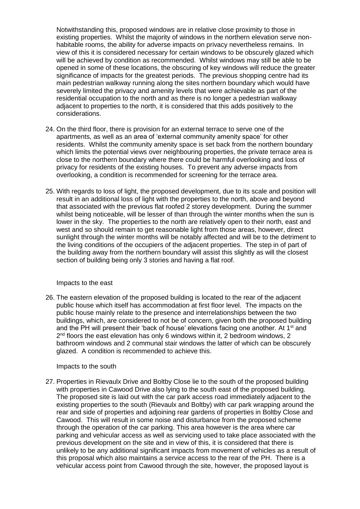Notwithstanding this, proposed windows are in relative close proximity to those in existing properties. Whilst the majority of windows in the northern elevation serve nonhabitable rooms, the ability for adverse impacts on privacy nevertheless remains. In view of this it is considered necessary for certain windows to be obscurely glazed which will be achieved by condition as recommended. Whilst windows may still be able to be opened in some of these locations, the obscuring of key windows will reduce the greater significance of impacts for the greatest periods. The previous shopping centre had its main pedestrian walkway running along the sites northern boundary which would have severely limited the privacy and amenity levels that were achievable as part of the residential occupation to the north and as there is no longer a pedestrian walkway adjacent to properties to the north, it is considered that this adds positively to the considerations.

- 24. On the third floor, there is provision for an external terrace to serve one of the apartments, as well as an area of 'external community amenity space' for other residents. Whilst the community amenity space is set back from the northern boundary which limits the potential views over neighbouring properties, the private terrace area is close to the northern boundary where there could be harmful overlooking and loss of privacy for residents of the existing houses. To prevent any adverse impacts from overlooking, a condition is recommended for screening for the terrace area.
- 25. With regards to loss of light, the proposed development, due to its scale and position will result in an additional loss of light with the properties to the north, above and beyond that associated with the previous flat roofed 2 storey development. During the summer whilst being noticeable, will be lesser of than through the winter months when the sun is lower in the sky. The properties to the north are relatively open to their north, east and west and so should remain to get reasonable light from those areas, however, direct sunlight through the winter months will be notably affected and will be to the detriment to the living conditions of the occupiers of the adjacent properties. The step in of part of the building away from the northern boundary will assist this slightly as will the closest section of building being only 3 stories and having a flat roof.

#### Impacts to the east

26. The eastern elevation of the proposed building is located to the rear of the adjacent public house which itself has accommodation at first floor level. The impacts on the public house mainly relate to the presence and interrelationships between the two buildings, which, are considered to not be of concern, given both the proposed building and the PH will present their 'back of house' elevations facing one another. At 1<sup>st</sup> and  $2^{nd}$  floors the east elevation has only 6 windows within it, 2 bedroom windows, 2 bathroom windows and 2 communal stair windows the latter of which can be obscurely glazed. A condition is recommended to achieve this.

# Impacts to the south

27. Properties in Rievaulx Drive and Boltby Close lie to the south of the proposed building with properties in Cawood Drive also lying to the south east of the proposed building. The proposed site is laid out with the car park access road immediately adjacent to the existing properties to the south (Rievaulx and Boltby) with car park wrapping around the rear and side of properties and adjoining rear gardens of properties in Boltby Close and Cawood. This will result in some noise and disturbance from the proposed scheme through the operation of the car parking. This area however is the area where car parking and vehicular access as well as servicing used to take place associated with the previous development on the site and in view of this, it is considered that there is unlikely to be any additional significant impacts from movement of vehicles as a result of this proposal which also maintains a service access to the rear of the PH. There is a vehicular access point from Cawood through the site, however, the proposed layout is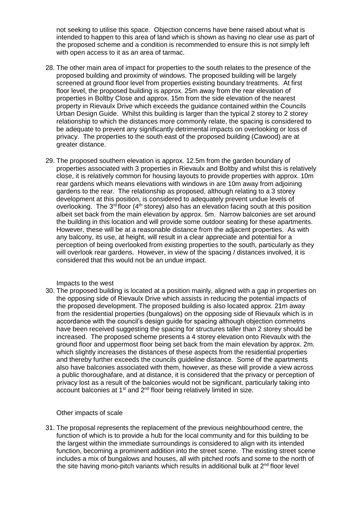not seeking to utilise this space. Objection concerns have bene raised about what is intended to happen to this area of land which is shown as having no clear use as part of the proposed scheme and a condition is recommended to ensure this is not simply left with open access to it as an area of tarmac.

- 28. The other main area of impact for properties to the south relates to the presence of the proposed building and proximity of windows. The proposed building will be largely screened at ground floor level from properties existing boundary treatments. At first floor level, the proposed building is approx. 25m away from the rear elevation of properties in Boltby Close and approx. 15m from the side elevation of the nearest property in Rievaulx Drive which exceeds the guidance contained within the Councils Urban Design Guide. Whilst this building is larger than the typical 2 storey to 2 storey relationship to which the distances more commonly relate, the spacing is considered to be adequate to prevent any significantly detrimental impacts on overlooking or loss of privacy. The properties to the south east of the proposed building (Cawood) are at greater distance.
- 29. The proposed southern elevation is approx. 12.5m from the garden boundary of properties associated with 3 properties in Rievaulx and Boltby and whilst this is relatively close, it is relatively common for housing layouts to provide properties with approx. 10m rear gardens which means elevations with windows in are 10m away from adjoining gardens to the rear. The relationship as proposed, although relating to a 3 storey development at this position, is considered to adequately prevent undue levels of overlooking. The  $3<sup>rd</sup>$  floor ( $4<sup>th</sup>$  storey) also has an elevation facing south at this position albeit set back from the main elevation by approx. 5m. Narrow balconies are set around the building in this location and will provide some outdoor seating for these apartments. However, these will be at a reasonable distance from the adjacent properties. As with any balcony, its use, at height, will result in a clear appreciate and potential for a perception of being overlooked from existing properties to the south, particularly as they will overlook rear gardens. However, in view of the spacing / distances involved, it is considered that this would not be an undue impact.

# Impacts to the west

30. The proposed building is located at a position mainly, aligned with a gap in properties on the opposing side of Rievaulx Drive which assists in reducing the potential impacts of the proposed development. The proposed building is also located approx. 21m away from the residential properties (bungalows) on the opposing side of Rievaulx which is in accordance with the council's design guide for spacing although objection commetns have been received suggesting the spacing for structures taller than 2 storey should be increased. The proposed scheme presents a 4 storey elevation onto Rievaulx with the ground floor and uppermost floor being set back from the main elevation by approx. 2m. which slightly increases the distances of these aspects from the residential properties and thereby further exceeds the councils guideline distance. Some of the apartments also have balconies associated with them, however, as these will provide a view across a public thoroughafare, and at distance, it is considered that the privacy or perception of privacy lost as a result of the balconies would not be significant, particularly taking into account balconies at  $1<sup>st</sup>$  and  $2<sup>nd</sup>$  floor being relatively limited in size.

# Other impacts of scale

31. The proposal represents the replacement of the previous neighbourhood centre, the function of which is to provide a hub for the local community and for this building to be the largest within the immediate surroundings is considered to align with its intended function, becoming a prominent addition into the street scene. The existing street scene includes a mix of bungalows and houses, all with pitched roofs and some to the north of the site having mono-pitch variants which results in additional bulk at  $2<sup>nd</sup>$  floor level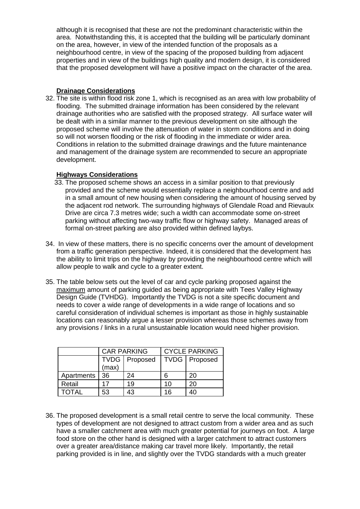although it is recognised that these are not the predominant characteristic within the area. Notwithstanding this, it is accepted that the building will be particularly dominant on the area, however, in view of the intended function of the proposals as a neighbourhood centre, in view of the spacing of the proposed building from adjacent properties and in view of the buildings high quality and modern design, it is considered that the proposed development will have a positive impact on the character of the area.

# **Drainage Considerations**

32. The site is within flood risk zone 1, which is recognised as an area with low probability of flooding. The submitted drainage information has been considered by the relevant drainage authorities who are satisfied with the proposed strategy. All surface water will be dealt with in a similar manner to the previous development on site although the proposed scheme will involve the attenuation of water in storm conditions and in doing so will not worsen flooding or the risk of flooding in the immediate or wider area. Conditions in relation to the submitted drainage drawings and the future maintenance and management of the drainage system are recommended to secure an appropriate development.

# **Highways Considerations**

- 33. The proposed scheme shows an access in a similar position to that previously provided and the scheme would essentially replace a neighbourhood centre and add in a small amount of new housing when considering the amount of housing served by the adjacent rod network. The surrounding highways of Glendale Road and Rievaulx Drive are circa 7.3 metres wide; such a width can accommodate some on-street parking without affecting two-way traffic flow or highway safety. Managed areas of formal on-street parking are also provided within defined laybys.
- 34. In view of these matters, there is no specific concerns over the amount of development from a traffic generation perspective. Indeed, it is considered that the development has the ability to limit trips on the highway by providing the neighbourhood centre which will allow people to walk and cycle to a greater extent.
- 35. The table below sets out the level of car and cycle parking proposed against the maximum amount of parking guided as being appropriate with Tees Valley Highway Design Guide (TVHDG). Importantly the TVDG is not a site specific document and needs to cover a wide range of developments in a wide range of locations and so careful consideration of individual schemes is important as those in highly sustainable locations can reasonably argue a lesser provision whereas those schemes away from any provisions / links in a rural unsustainable location would need higher provision.

|            | <b>CAR PARKING</b> |               | <b>CYCLE PARKING</b> |                 |
|------------|--------------------|---------------|----------------------|-----------------|
|            | (max)              | TVDG Proposed |                      | TVDG   Proposed |
| Apartments | 36                 | 24            | ค                    | 20              |
| Retail     |                    | 19            | 10                   | 20              |
| TOTAL      | 53                 |               | 16                   |                 |

36. The proposed development is a small retail centre to serve the local community. These types of development are not designed to attract custom from a wider area and as such have a smaller catchment area with much greater potential for journeys on foot. A large food store on the other hand is designed with a larger catchment to attract customers over a greater area/distance making car travel more likely. Importantly, the retail parking provided is in line, and slightly over the TVDG standards with a much greater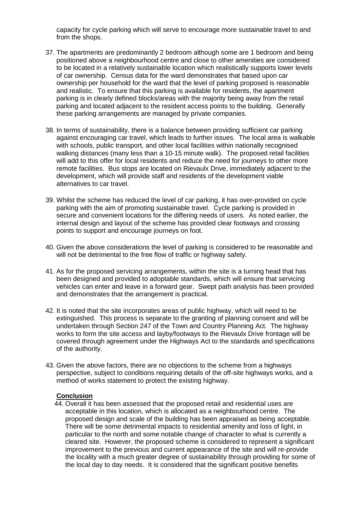capacity for cycle parking which will serve to encourage more sustainable travel to and from the shops.

- 37. The apartments are predominantly 2 bedroom although some are 1 bedroom and being positioned above a neighbourhood centre and close to other amenities are considered to be located in a relatively sustainable location which realistically supports lower levels of car ownership. Census data for the ward demonstrates that based upon car ownership per household for the ward that the level of parking proposed is reasonable and realistic. To ensure that this parking is available for residents, the apartment parking is in clearly defined blocks/areas with the majority being away from the retail parking and located adjacent to the resident access points to the building. Generally these parking arrangements are managed by private companies.
- 38. In terms of sustainability, there is a balance between providing sufficient car parking against encouraging car travel, which leads to further issues. The local area is walkable with schools, public transport, and other local facilities within nationally recognised walking distances (many less than a 10-15 minute walk). The proposed retail facilities will add to this offer for local residents and reduce the need for journeys to other more remote facilities. Bus stops are located on Rievaulx Drive, immediately adjacent to the development, which will provide staff and residents of the development viable alternatives to car travel.
- 39. Whilst the scheme has reduced the level of car parking, it has over-provided on cycle parking with the aim of promoting sustainable travel. Cycle parking is provided in secure and convenient locations for the differing needs of users. As noted earlier, the internal design and layout of the scheme has provided clear footways and crossing points to support and encourage journeys on foot.
- 40. Given the above considerations the level of parking is considered to be reasonable and will not be detrimental to the free flow of traffic or highway safety.
- 41. As for the proposed servicing arrangements, within the site is a turning head that has been designed and provided to adoptable standards, which will ensure that servicing vehicles can enter and leave in a forward gear. Swept path analysis has been provided and demonstrates that the arrangement is practical.
- 42. It is noted that the site incorporates areas of public highway, which will need to be extinguished. This process is separate to the granting of planning consent and will be undertaken through Section 247 of the Town and Country Planning Act. The highway works to form the site access and layby/footways to the Rievaulx Drive frontage will be covered through agreement under the Highways Act to the standards and specifications of the authority.
- 43. Given the above factors, there are no objections to the scheme from a highways perspective, subject to conditions requiring details of the off-site highways works, and a method of works statement to protect the existing highway.

#### **Conclusion**

44. Overall it has been assessed that the proposed retail and residential uses are acceptable in this location, which is allocated as a neighbourhood centre. The proposed design and scale of the building has been appraised as being acceptable. There will be some detrimental impacts to residential amenity and loss of light, in particular to the north and some notable change of character to what is currently a cleared site. However, the proposed scheme is considered to represent a significant improvement to the previous and current appearance of the site and will re-provide the locality with a much greater degree of sustainability through providing for some of the local day to day needs. It is considered that the significant positive benefits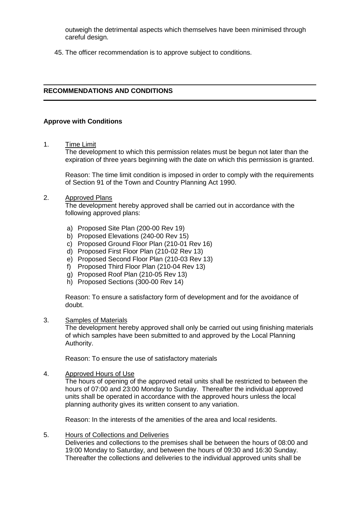outweigh the detrimental aspects which themselves have been minimised through careful design.

45. The officer recommendation is to approve subject to conditions.

# **RECOMMENDATIONS AND CONDITIONS**

### **Approve with Conditions**

1. Time Limit

The development to which this permission relates must be begun not later than the expiration of three years beginning with the date on which this permission is granted.

Reason: The time limit condition is imposed in order to comply with the requirements of Section 91 of the Town and Country Planning Act 1990.

#### 2. Approved Plans

The development hereby approved shall be carried out in accordance with the following approved plans:

- a) Proposed Site Plan (200-00 Rev 19)
- b) Proposed Elevations (240-00 Rev 15)
- c) Proposed Ground Floor Plan (210-01 Rev 16)
- d) Proposed First Floor Plan (210-02 Rev 13)
- e) Proposed Second Floor Plan (210-03 Rev 13)
- f) Proposed Third Floor Plan (210-04 Rev 13)
- g) Proposed Roof Plan (210-05 Rev 13)
- h) Proposed Sections (300-00 Rev 14)

Reason: To ensure a satisfactory form of development and for the avoidance of doubt.

#### 3. Samples of Materials

The development hereby approved shall only be carried out using finishing materials of which samples have been submitted to and approved by the Local Planning Authority.

Reason: To ensure the use of satisfactory materials

4. Approved Hours of Use

The hours of opening of the approved retail units shall be restricted to between the hours of 07:00 and 23:00 Monday to Sunday. Thereafter the individual approved units shall be operated in accordance with the approved hours unless the local planning authority gives its written consent to any variation.

Reason: In the interests of the amenities of the area and local residents.

5. Hours of Collections and Deliveries

Deliveries and collections to the premises shall be between the hours of 08:00 and 19:00 Monday to Saturday, and between the hours of 09:30 and 16:30 Sunday. Thereafter the collections and deliveries to the individual approved units shall be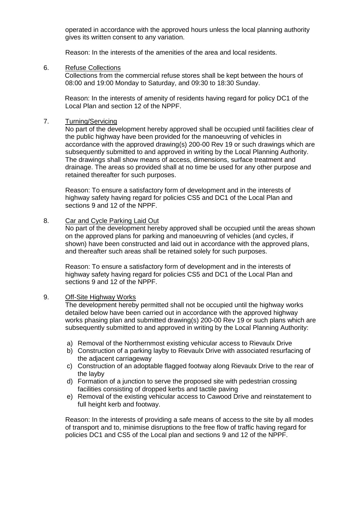operated in accordance with the approved hours unless the local planning authority gives its written consent to any variation.

Reason: In the interests of the amenities of the area and local residents.

6. Refuse Collections

Collections from the commercial refuse stores shall be kept between the hours of 08:00 and 19:00 Monday to Saturday, and 09:30 to 18:30 Sunday.

Reason: In the interests of amenity of residents having regard for policy DC1 of the Local Plan and section 12 of the NPPF.

#### 7. Turning/Servicing

No part of the development hereby approved shall be occupied until facilities clear of the public highway have been provided for the manoeuvring of vehicles in accordance with the approved drawing(s) 200-00 Rev 19 or such drawings which are subsequently submitted to and approved in writing by the Local Planning Authority. The drawings shall show means of access, dimensions, surface treatment and drainage. The areas so provided shall at no time be used for any other purpose and retained thereafter for such purposes.

Reason: To ensure a satisfactory form of development and in the interests of highway safety having regard for policies CS5 and DC1 of the Local Plan and sections 9 and 12 of the NPPF.

#### 8. Car and Cycle Parking Laid Out

No part of the development hereby approved shall be occupied until the areas shown on the approved plans for parking and manoeuvring of vehicles (and cycles, if shown) have been constructed and laid out in accordance with the approved plans, and thereafter such areas shall be retained solely for such purposes.

Reason: To ensure a satisfactory form of development and in the interests of highway safety having regard for policies CS5 and DC1 of the Local Plan and sections 9 and 12 of the NPPF.

#### 9. Off-Site Highway Works

The development hereby permitted shall not be occupied until the highway works detailed below have been carried out in accordance with the approved highway works phasing plan and submitted drawing(s) 200-00 Rev 19 or such plans which are subsequently submitted to and approved in writing by the Local Planning Authority:

- a) Removal of the Northernmost existing vehicular access to Rievaulx Drive
- b) Construction of a parking layby to Rievaulx Drive with associated resurfacing of the adjacent carriageway
- c) Construction of an adoptable flagged footway along Rievaulx Drive to the rear of the layby
- d) Formation of a junction to serve the proposed site with pedestrian crossing facilities consisting of dropped kerbs and tactile paving
- e) Removal of the existing vehicular access to Cawood Drive and reinstatement to full height kerb and footway.

Reason: In the interests of providing a safe means of access to the site by all modes of transport and to, minimise disruptions to the free flow of traffic having regard for policies DC1 and CS5 of the Local plan and sections 9 and 12 of the NPPF.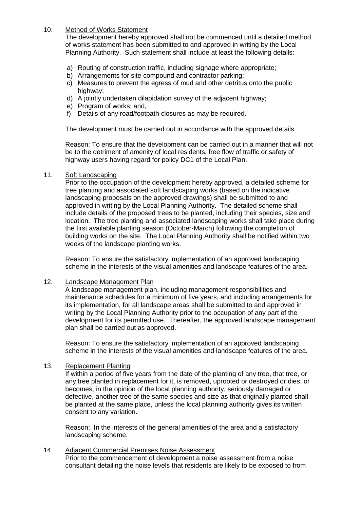# 10. Method of Works Statement

The development hereby approved shall not be commenced until a detailed method of works statement has been submitted to and approved in writing by the Local Planning Authority. Such statement shall include at least the following details:

- a) Routing of construction traffic, including signage where appropriate;
- b) Arrangements for site compound and contractor parking;
- c) Measures to prevent the egress of mud and other detritus onto the public highway:
- d) A jointly undertaken dilapidation survey of the adjacent highway;
- e) Program of works; and,
- f) Details of any road/footpath closures as may be required.

The development must be carried out in accordance with the approved details.

Reason: To ensure that the development can be carried out in a manner that will not be to the detriment of amenity of local residents, free flow of traffic or safety of highway users having regard for policy DC1 of the Local Plan.

### 11. Soft Landscaping

Prior to the occupation of the development hereby approved, a detailed scheme for tree planting and associated soft landscaping works (based on the indicative landscaping proposals on the approved drawings) shall be submitted to and approved in writing by the Local Planning Authority. The detailed scheme shall include details of the proposed trees to be planted, including their species, size and location. The tree planting and associated landscaping works shall take place during the first available planting season (October-March) following the completion of building works on the site. The Local Planning Authority shall be notified within two weeks of the landscape planting works.

Reason: To ensure the satisfactory implementation of an approved landscaping scheme in the interests of the visual amenities and landscape features of the area.

# 12. Landscape Management Plan

A landscape management plan, including management responsibilities and maintenance schedules for a minimum of five years, and including arrangements for its implementation, for all landscape areas shall be submitted to and approved in writing by the Local Planning Authority prior to the occupation of any part of the development for its permitted use. Thereafter, the approved landscape management plan shall be carried out as approved.

Reason: To ensure the satisfactory implementation of an approved landscaping scheme in the interests of the visual amenities and landscape features of the area.

# 13. Replacement Planting

If within a period of five years from the date of the planting of any tree, that tree, or any tree planted in replacement for it, is removed, uprooted or destroyed or dies, or becomes, in the opinion of the local planning authority, seriously damaged or defective, another tree of the same species and size as that originally planted shall be planted at the same place, unless the local planning authority gives its written consent to any variation.

Reason: In the interests of the general amenities of the area and a satisfactory landscaping scheme.

#### 14. Adjacent Commercial Premises Noise Assessment

Prior to the commencement of development a noise assessment from a noise consultant detailing the noise levels that residents are likely to be exposed to from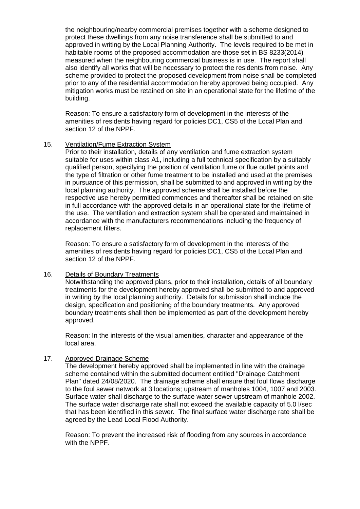the neighbouring/nearby commercial premises together with a scheme designed to protect these dwellings from any noise transference shall be submitted to and approved in writing by the Local Planning Authority. The levels required to be met in habitable rooms of the proposed accommodation are those set in BS 8233(2014) measured when the neighbouring commercial business is in use. The report shall also identify all works that will be necessary to protect the residents from noise. Any scheme provided to protect the proposed development from noise shall be completed prior to any of the residential accommodation hereby approved being occupied. Any mitigation works must be retained on site in an operational state for the lifetime of the building.

Reason: To ensure a satisfactory form of development in the interests of the amenities of residents having regard for policies DC1, CS5 of the Local Plan and section 12 of the NPPF.

### 15. Ventilation/Fume Extraction System

Prior to their installation, details of any ventilation and fume extraction system suitable for uses within class A1, including a full technical specification by a suitably qualified person, specifying the position of ventilation fume or flue outlet points and the type of filtration or other fume treatment to be installed and used at the premises in pursuance of this permission, shall be submitted to and approved in writing by the local planning authority. The approved scheme shall be installed before the respective use hereby permitted commences and thereafter shall be retained on site in full accordance with the approved details in an operational state for the lifetime of the use. The ventilation and extraction system shall be operated and maintained in accordance with the manufacturers recommendations including the frequency of replacement filters.

Reason: To ensure a satisfactory form of development in the interests of the amenities of residents having regard for policies DC1, CS5 of the Local Plan and section 12 of the NPPF.

# 16. Details of Boundary Treatments

Notwithstanding the approved plans, prior to their installation, details of all boundary treatments for the development hereby approved shall be submitted to and approved in writing by the local planning authority. Details for submission shall include the design, specification and positioning of the boundary treatments. Any approved boundary treatments shall then be implemented as part of the development hereby approved.

Reason: In the interests of the visual amenities, character and appearance of the local area.

# 17. Approved Drainage Scheme

The development hereby approved shall be implemented in line with the drainage scheme contained within the submitted document entitled "Drainage Catchment Plan" dated 24/08/2020. The drainage scheme shall ensure that foul flows discharge to the foul sewer network at 3 locations; upstream of manholes 1004, 1007 and 2003. Surface water shall discharge to the surface water sewer upstream of manhole 2002. The surface water discharge rate shall not exceed the available capacity of 5.0 l/sec that has been identified in this sewer. The final surface water discharge rate shall be agreed by the Lead Local Flood Authority.

Reason: To prevent the increased risk of flooding from any sources in accordance with the NPPF.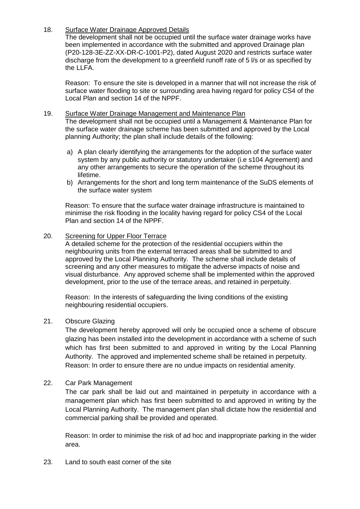# 18. Surface Water Drainage Approved Details

The development shall not be occupied until the surface water drainage works have been implemented in accordance with the submitted and approved Drainage plan (P20-128-3E-ZZ-XX-DR-C-1001-P2), dated August 2020 and restricts surface water discharge from the development to a greenfield runoff rate of 5 l/s or as specified by the LLFA.

Reason: To ensure the site is developed in a manner that will not increase the risk of surface water flooding to site or surrounding area having regard for policy CS4 of the Local Plan and section 14 of the NPPF.

#### 19. Surface Water Drainage Management and Maintenance Plan The development shall not be occupied until a Management & Maintenance Plan for the surface water drainage scheme has been submitted and approved by the Local planning Authority; the plan shall include details of the following:

- a) A plan clearly identifying the arrangements for the adoption of the surface water system by any public authority or statutory undertaker (i.e s104 Agreement) and any other arrangements to secure the operation of the scheme throughout its lifetime.
- b) Arrangements for the short and long term maintenance of the SuDS elements of the surface water system

Reason: To ensure that the surface water drainage infrastructure is maintained to minimise the risk flooding in the locality having regard for policy CS4 of the Local Plan and section 14 of the NPPF.

# 20. Screening for Upper Floor Terrace

A detailed scheme for the protection of the residential occupiers within the neighbouring units from the external terraced areas shall be submitted to and approved by the Local Planning Authority. The scheme shall include details of screening and any other measures to mitigate the adverse impacts of noise and visual disturbance. Any approved scheme shall be implemented within the approved development, prior to the use of the terrace areas, and retained in perpetuity.

Reason: In the interests of safeguarding the living conditions of the existing neighbouring residential occupiers.

# 21. Obscure Glazing

The development hereby approved will only be occupied once a scheme of obscure glazing has been installed into the development in accordance with a scheme of such which has first been submitted to and approved in writing by the Local Planning Authority. The approved and implemented scheme shall be retained in perpetuity. Reason: In order to ensure there are no undue impacts on residential amenity.

# 22. Car Park Management

The car park shall be laid out and maintained in perpetuity in accordance with a management plan which has first been submitted to and approved in writing by the Local Planning Authority. The management plan shall dictate how the residential and commercial parking shall be provided and operated.

Reason: In order to minimise the risk of ad hoc and inappropriate parking in the wider area.

23. Land to south east corner of the site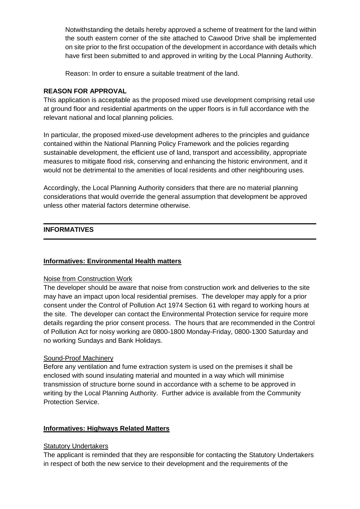Notwithstanding the details hereby approved a scheme of treatment for the land within the south eastern corner of the site attached to Cawood Drive shall be implemented on site prior to the first occupation of the development in accordance with details which have first been submitted to and approved in writing by the Local Planning Authority.

Reason: In order to ensure a suitable treatment of the land.

# **REASON FOR APPROVAL**

This application is acceptable as the proposed mixed use development comprising retail use at ground floor and residential apartments on the upper floors is in full accordance with the relevant national and local planning policies.

In particular, the proposed mixed-use development adheres to the principles and guidance contained within the National Planning Policy Framework and the policies regarding sustainable development, the efficient use of land, transport and accessibility, appropriate measures to mitigate flood risk, conserving and enhancing the historic environment, and it would not be detrimental to the amenities of local residents and other neighbouring uses.

Accordingly, the Local Planning Authority considers that there are no material planning considerations that would override the general assumption that development be approved unless other material factors determine otherwise.

# **INFORMATIVES**

# **Informatives: Environmental Health matters**

# Noise from Construction Work

The developer should be aware that noise from construction work and deliveries to the site may have an impact upon local residential premises. The developer may apply for a prior consent under the Control of Pollution Act 1974 Section 61 with regard to working hours at the site. The developer can contact the Environmental Protection service for require more details regarding the prior consent process. The hours that are recommended in the Control of Pollution Act for noisy working are 0800-1800 Monday-Friday, 0800-1300 Saturday and no working Sundays and Bank Holidays.

# Sound-Proof Machinery

Before any ventilation and fume extraction system is used on the premises it shall be enclosed with sound insulating material and mounted in a way which will minimise transmission of structure borne sound in accordance with a scheme to be approved in writing by the Local Planning Authority. Further advice is available from the Community Protection Service.

# **Informatives: Highways Related Matters**

# **Statutory Undertakers**

The applicant is reminded that they are responsible for contacting the Statutory Undertakers in respect of both the new service to their development and the requirements of the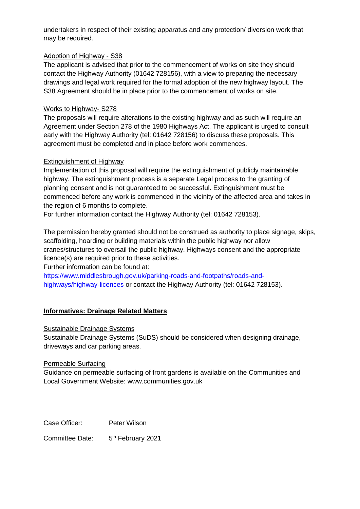undertakers in respect of their existing apparatus and any protection/ diversion work that may be required.

# Adoption of Highway - S38

The applicant is advised that prior to the commencement of works on site they should contact the Highway Authority (01642 728156), with a view to preparing the necessary drawings and legal work required for the formal adoption of the new highway layout. The S38 Agreement should be in place prior to the commencement of works on site.

# Works to Highway- S278

The proposals will require alterations to the existing highway and as such will require an Agreement under Section 278 of the 1980 Highways Act. The applicant is urged to consult early with the Highway Authority (tel: 01642 728156) to discuss these proposals. This agreement must be completed and in place before work commences.

# Extinguishment of Highway

Implementation of this proposal will require the extinguishment of publicly maintainable highway. The extinguishment process is a separate Legal process to the granting of planning consent and is not guaranteed to be successful. Extinguishment must be commenced before any work is commenced in the vicinity of the affected area and takes in the region of 6 months to complete.

For further information contact the Highway Authority (tel: 01642 728153).

The permission hereby granted should not be construed as authority to place signage, skips, scaffolding, hoarding or building materials within the public highway nor allow cranes/structures to oversail the public highway. Highways consent and the appropriate licence(s) are required prior to these activities.

Further information can be found at:

[https://www.middlesbrough.gov.uk/parking-roads-and-footpaths/roads-and](https://www.middlesbrough.gov.uk/parking-roads-and-footpaths/roads-and-highways/highway-licences)[highways/highway-licences](https://www.middlesbrough.gov.uk/parking-roads-and-footpaths/roads-and-highways/highway-licences) or contact the Highway Authority (tel: 01642 728153).

# **Informatives: Drainage Related Matters**

# Sustainable Drainage Systems

Sustainable Drainage Systems (SuDS) should be considered when designing drainage, driveways and car parking areas.

# Permeable Surfacing

Guidance on permeable surfacing of front gardens is available on the Communities and Local Government Website: www.communities.gov.uk

Case Officer: Peter Wilson

Committee Date: 5<sup>th</sup> February 2021